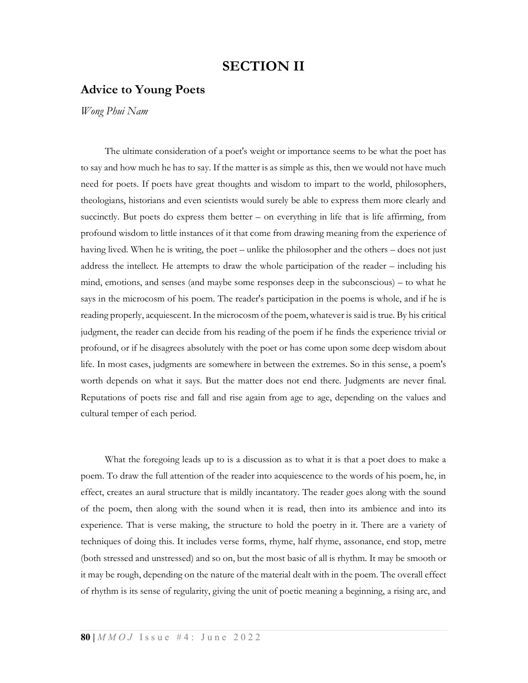## SECTION II

## Advice to Young Poets

Wong Phui Nam

 The ultimate consideration of a poet's weight or importance seems to be what the poet has to say and how much he has to say. If the matter is as simple as this, then we would not have much need for poets. If poets have great thoughts and wisdom to impart to the world, philosophers, theologians, historians and even scientists would surely be able to express them more clearly and succinctly. But poets do express them better – on everything in life that is life affirming, from profound wisdom to little instances of it that come from drawing meaning from the experience of having lived. When he is writing, the poet – unlike the philosopher and the others – does not just address the intellect. He attempts to draw the whole participation of the reader – including his mind, emotions, and senses (and maybe some responses deep in the subconscious) – to what he says in the microcosm of his poem. The reader's participation in the poems is whole, and if he is reading properly, acquiescent. In the microcosm of the poem, whatever is said is true. By his critical judgment, the reader can decide from his reading of the poem if he finds the experience trivial or profound, or if he disagrees absolutely with the poet or has come upon some deep wisdom about life. In most cases, judgments are somewhere in between the extremes. So in this sense, a poem's worth depends on what it says. But the matter does not end there. Judgments are never final. Reputations of poets rise and fall and rise again from age to age, depending on the values and cultural temper of each period.

 What the foregoing leads up to is a discussion as to what it is that a poet does to make a poem. To draw the full attention of the reader into acquiescence to the words of his poem, he, in effect, creates an aural structure that is mildly incantatory. The reader goes along with the sound of the poem, then along with the sound when it is read, then into its ambience and into its experience. That is verse making, the structure to hold the poetry in it. There are a variety of techniques of doing this. It includes verse forms, rhyme, half rhyme, assonance, end stop, metre (both stressed and unstressed) and so on, but the most basic of all is rhythm. It may be smooth or it may be rough, depending on the nature of the material dealt with in the poem. The overall effect of rhythm is its sense of regularity, giving the unit of poetic meaning a beginning, a rising arc, and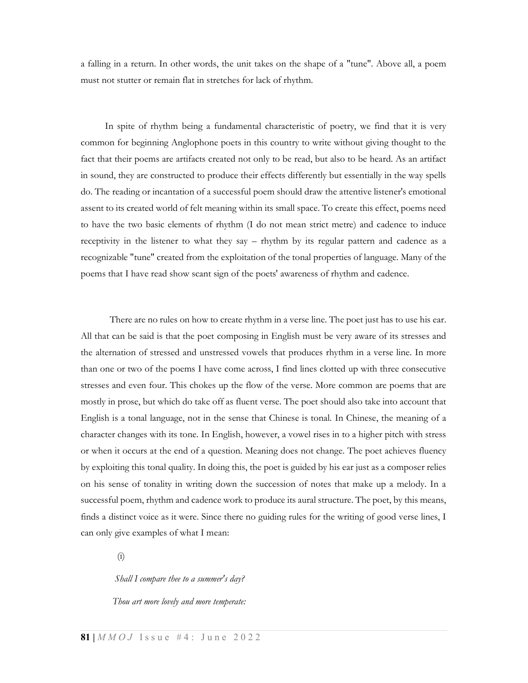a falling in a return. In other words, the unit takes on the shape of a "tune". Above all, a poem must not stutter or remain flat in stretches for lack of rhythm.

 In spite of rhythm being a fundamental characteristic of poetry, we find that it is very common for beginning Anglophone poets in this country to write without giving thought to the fact that their poems are artifacts created not only to be read, but also to be heard. As an artifact in sound, they are constructed to produce their effects differently but essentially in the way spells do. The reading or incantation of a successful poem should draw the attentive listener's emotional assent to its created world of felt meaning within its small space. To create this effect, poems need to have the two basic elements of rhythm (I do not mean strict metre) and cadence to induce receptivity in the listener to what they say – rhythm by its regular pattern and cadence as a recognizable "tune" created from the exploitation of the tonal properties of language. Many of the poems that I have read show scant sign of the poets' awareness of rhythm and cadence.

There are no rules on how to create rhythm in a verse line. The poet just has to use his ear. All that can be said is that the poet composing in English must be very aware of its stresses and the alternation of stressed and unstressed vowels that produces rhythm in a verse line. In more than one or two of the poems I have come across, I find lines clotted up with three consecutive stresses and even four. This chokes up the flow of the verse. More common are poems that are mostly in prose, but which do take off as fluent verse. The poet should also take into account that English is a tonal language, not in the sense that Chinese is tonal. In Chinese, the meaning of a character changes with its tone. In English, however, a vowel rises in to a higher pitch with stress or when it occurs at the end of a question. Meaning does not change. The poet achieves fluency by exploiting this tonal quality. In doing this, the poet is guided by his ear just as a composer relies on his sense of tonality in writing down the succession of notes that make up a melody. In a successful poem, rhythm and cadence work to produce its aural structure. The poet, by this means, finds a distinct voice as it were. Since there no guiding rules for the writing of good verse lines, I can only give examples of what I mean:

(i)

Shall I compare thee to a summer's day?

Thou art more lovely and more temperate: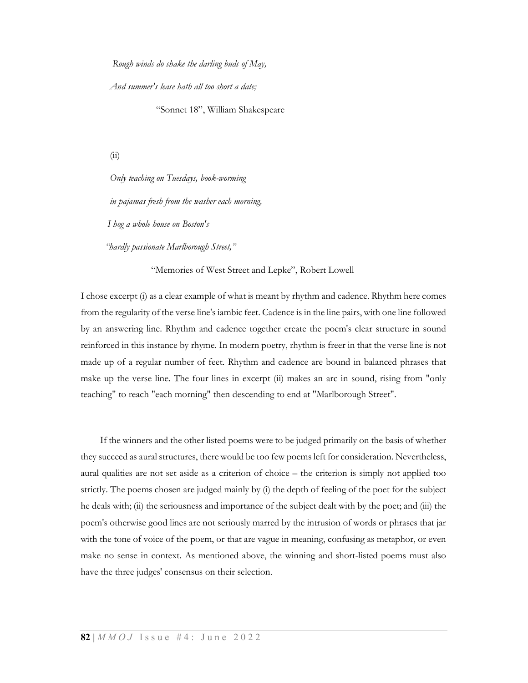Rough winds do shake the darling buds of May,

And summer's lease hath all too short a date;

"Sonnet 18", William Shakespeare

(ii)

Only teaching on Tuesdays, book-worming in pajamas fresh from the washer each morning, I hog a whole house on Boston's

"hardly passionate Marlborough Street,"

"Memories of West Street and Lepke", Robert Lowell

I chose excerpt (i) as a clear example of what is meant by rhythm and cadence. Rhythm here comes from the regularity of the verse line's iambic feet. Cadence is in the line pairs, with one line followed by an answering line. Rhythm and cadence together create the poem's clear structure in sound reinforced in this instance by rhyme. In modern poetry, rhythm is freer in that the verse line is not made up of a regular number of feet. Rhythm and cadence are bound in balanced phrases that make up the verse line. The four lines in excerpt (ii) makes an arc in sound, rising from "only teaching" to reach "each morning" then descending to end at "Marlborough Street".

 If the winners and the other listed poems were to be judged primarily on the basis of whether they succeed as aural structures, there would be too few poems left for consideration. Nevertheless, aural qualities are not set aside as a criterion of choice – the criterion is simply not applied too strictly. The poems chosen are judged mainly by (i) the depth of feeling of the poet for the subject he deals with; (ii) the seriousness and importance of the subject dealt with by the poet; and (iii) the poem's otherwise good lines are not seriously marred by the intrusion of words or phrases that jar with the tone of voice of the poem, or that are vague in meaning, confusing as metaphor, or even make no sense in context. As mentioned above, the winning and short-listed poems must also have the three judges' consensus on their selection.